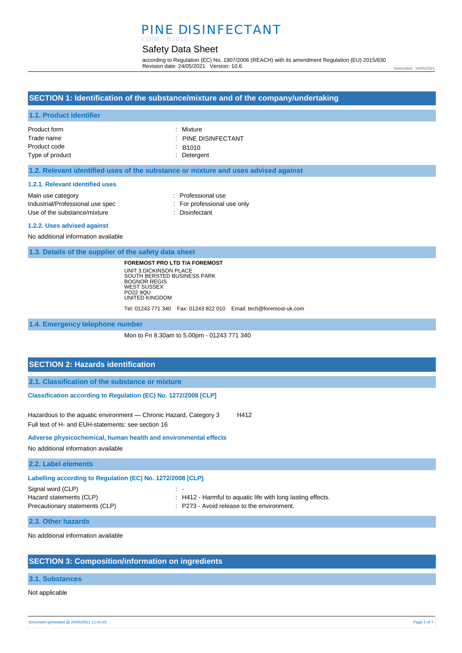## PINE DISINFECTANT CODE : B1010

## Safety Data Sheet

according to Regulation (EC) No. 1907/2006 (REACH) with its amendment Regulation (EU) 2015/830 Revision date: 24/05/2021 Version: 10.6

Generated : 24/05/2021

## **SECTION 1: Identification of the substance/mixture and of the company/undertaking**

### **1.1. Product identifier**

| Product form    | : Mixture                      |
|-----------------|--------------------------------|
| Trade name      | $\therefore$ PINE DISINFECTANT |
| Product code    | $\therefore$ B <sub>1010</sub> |
| Type of product | : Detergent                    |
|                 |                                |

### **1.2. Relevant identified uses of the substance or mixture and uses advised against**

#### **1.2.1. Relevant identified uses**

| Main use category                | : Professional use          |
|----------------------------------|-----------------------------|
| Industrial/Professional use spec | : For professional use only |
| Use of the substance/mixture     | : Disinfectant              |
|                                  |                             |

#### **1.2.2. Uses advised against**

No additional information available

**1.3. Details of the supplier of the safety data sheet**

**FOREMOST PRO LTD T/A FOREMOST** UNIT 3 DICKINSON PLACE SOUTH BERSTED BUSINESS PARK BOGNOR REGIS WEST SUSSEX PO22 9QU UNITED KINGDOM

Tel: 01243 771 340 Fax: 01243 822 010 Email: tech@foremost-uk.com

**1.4. Emergency telephone number**

Mon to Fri 8.30am to 5.00pm - 01243 771 340

## **SECTION 2: Hazards identification**

**2.1. Classification of the substance or mixture**

**Classification according to Regulation (EC) No. 1272/2008 [CLP]** 

Hazardous to the aquatic environment - Chronic Hazard, Category 3 H412 Full text of H- and EUH-statements: see section 16

#### **Adverse physicochemical, human health and environmental effects**

No additional information available

**2.2. Label elements**

| Labelling according to Regulation (EC) No. 1272/2008 [CLP] |                                                             |  |
|------------------------------------------------------------|-------------------------------------------------------------|--|
| Signal word (CLP)                                          | $\sim$ $-$                                                  |  |
| Hazard statements (CLP)                                    | : H412 - Harmful to aquatic life with long lasting effects. |  |
| Precautionary statements (CLP)                             | : P273 - Avoid release to the environment.                  |  |

## **2.3. Other hazards**

No additional information available

## **SECTION 3: Composition/information on ingredients**

#### **3.1. Substances**

Not applicable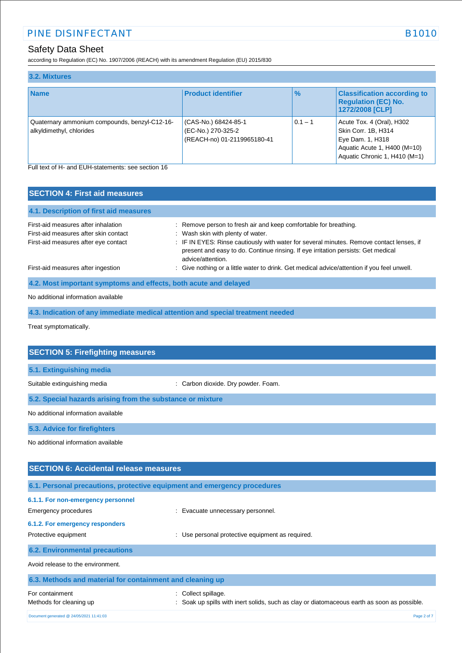# Safety Data Sheet

according to Regulation (EC) No. 1907/2006 (REACH) with its amendment Regulation (EU) 2015/830

| 3.2. Mixtures                                                             |                                                                           |               |                                                                                                                                       |
|---------------------------------------------------------------------------|---------------------------------------------------------------------------|---------------|---------------------------------------------------------------------------------------------------------------------------------------|
| <b>Name</b>                                                               | <b>Product identifier</b>                                                 | $\frac{9}{6}$ | <b>Classification according to</b><br><b>Regulation (EC) No.</b><br>1272/2008 [CLP]                                                   |
| Quaternary ammonium compounds, benzyl-C12-16-<br>alkyldimethyl, chlorides | (CAS-No.) 68424-85-1<br>(EC-No.) 270-325-2<br>(REACH-no) 01-2119965180-41 | $0.1 - 1$     | Acute Tox. 4 (Oral), H302<br>Skin Corr. 1B, H314<br>Eye Dam. 1, H318<br>Aquatic Acute 1, H400 (M=10)<br>Aquatic Chronic 1, H410 (M=1) |

Full text of H- and EUH-statements: see section 16

| <b>SECTION 4: First aid measures</b>                                          |                                                                                                                                                                                                                                         |  |  |
|-------------------------------------------------------------------------------|-----------------------------------------------------------------------------------------------------------------------------------------------------------------------------------------------------------------------------------------|--|--|
| 4.1. Description of first aid measures                                        |                                                                                                                                                                                                                                         |  |  |
| First-aid measures after inhalation                                           | : Remove person to fresh air and keep comfortable for breathing.                                                                                                                                                                        |  |  |
| First-aid measures after skin contact<br>First-aid measures after eye contact | : Wash skin with plenty of water.<br>: IF IN EYES: Rinse cautiously with water for several minutes. Remove contact lenses, if<br>present and easy to do. Continue rinsing. If eye irritation persists: Get medical<br>advice/attention. |  |  |
| First-aid measures after ingestion                                            | : Give nothing or a little water to drink. Get medical advice/attention if you feel unwell.                                                                                                                                             |  |  |
| 4.2. Most important symptoms and effects, both acute and delayed              |                                                                                                                                                                                                                                         |  |  |
| No additional information available                                           |                                                                                                                                                                                                                                         |  |  |

**4.3. Indication of any immediate medical attention and special treatment needed**

Treat symptomatically.

| <b>SECTION 5: Firefighting measures</b>                                  |                                                                                           |  |  |
|--------------------------------------------------------------------------|-------------------------------------------------------------------------------------------|--|--|
| 5.1. Extinguishing media                                                 |                                                                                           |  |  |
| Suitable extinguishing media                                             | : Carbon dioxide. Dry powder. Foam.                                                       |  |  |
| 5.2. Special hazards arising from the substance or mixture               |                                                                                           |  |  |
| No additional information available                                      |                                                                                           |  |  |
| 5.3. Advice for firefighters                                             |                                                                                           |  |  |
| No additional information available                                      |                                                                                           |  |  |
| <b>SECTION 6: Accidental release measures</b>                            |                                                                                           |  |  |
| 6.1. Personal precautions, protective equipment and emergency procedures |                                                                                           |  |  |
| 6.1.1. For non-emergency personnel                                       |                                                                                           |  |  |
| <b>Emergency procedures</b>                                              | Evacuate unnecessary personnel.                                                           |  |  |
| 6.1.2. For emergency responders                                          |                                                                                           |  |  |
| Protective equipment                                                     | Use personal protective equipment as required.                                            |  |  |
| <b>6.2. Environmental precautions</b>                                    |                                                                                           |  |  |
| Avoid release to the environment.                                        |                                                                                           |  |  |
| 6.3. Methods and material for containment and cleaning up                |                                                                                           |  |  |
| For containment                                                          | Collect spillage.                                                                         |  |  |
| Methods for cleaning up                                                  | Soak up spills with inert solids, such as clay or diatomaceous earth as soon as possible. |  |  |
| Document generated @ 24/05/2021 11:41:03                                 | Page 2 of 7                                                                               |  |  |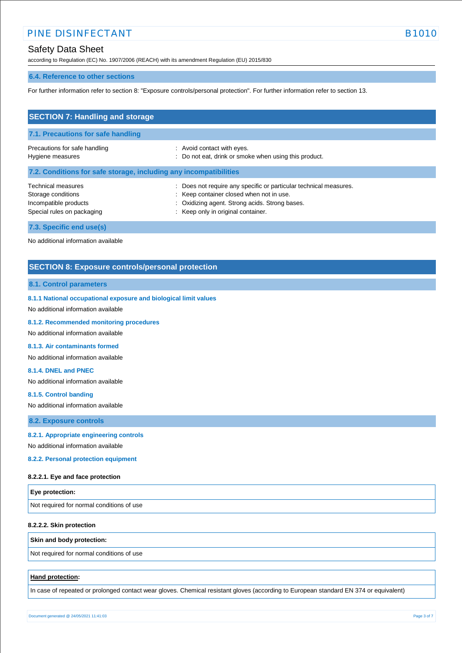## Safety Data Sheet

according to Regulation (EC) No. 1907/2006 (REACH) with its amendment Regulation (EU) 2015/830

### **6.4. Reference to other sections**

For further information refer to section 8: "Exposure controls/personal protection". For further information refer to section 13.

| <b>SECTION 7: Handling and storage</b>                                                                 |                                                                                                                                                                                                       |  |  |
|--------------------------------------------------------------------------------------------------------|-------------------------------------------------------------------------------------------------------------------------------------------------------------------------------------------------------|--|--|
| 7.1. Precautions for safe handling                                                                     |                                                                                                                                                                                                       |  |  |
| Precautions for safe handling<br>Hygiene measures                                                      | : Avoid contact with eyes.<br>: Do not eat, drink or smoke when using this product.                                                                                                                   |  |  |
| 7.2. Conditions for safe storage, including any incompatibilities                                      |                                                                                                                                                                                                       |  |  |
| <b>Technical measures</b><br>Storage conditions<br>Incompatible products<br>Special rules on packaging | : Does not require any specific or particular technical measures.<br>: Keep container closed when not in use.<br>: Oxidizing agent. Strong acids. Strong bases.<br>: Keep only in original container. |  |  |
| 7.3. Specific end use(s)                                                                               |                                                                                                                                                                                                       |  |  |

No additional information available

## **SECTION 8: Exposure controls/personal protection**

### **8.1. Control parameters**

#### **8.1.1 National occupational exposure and biological limit values**

No additional information available

#### **8.1.2. Recommended monitoring procedures**

No additional information available

### **8.1.3. Air contaminants formed**

No additional information available

#### **8.1.4. DNEL and PNEC**

No additional information available

#### **8.1.5. Control banding**

No additional information available

### **8.2. Exposure controls**

**8.2.1. Appropriate engineering controls**

No additional information available

## **8.2.2. Personal protection equipment**

#### **8.2.2.1. Eye and face protection**

| <b>Eye protection:</b>                    |  |
|-------------------------------------------|--|
| Not required for normal conditions of use |  |

#### **8.2.2.2. Skin protection**

#### **Skin and body protection:**

Not required for normal conditions of use

### **Hand protection:**

In case of repeated or prolonged contact wear gloves. Chemical resistant gloves (according to European standard EN 374 or equivalent)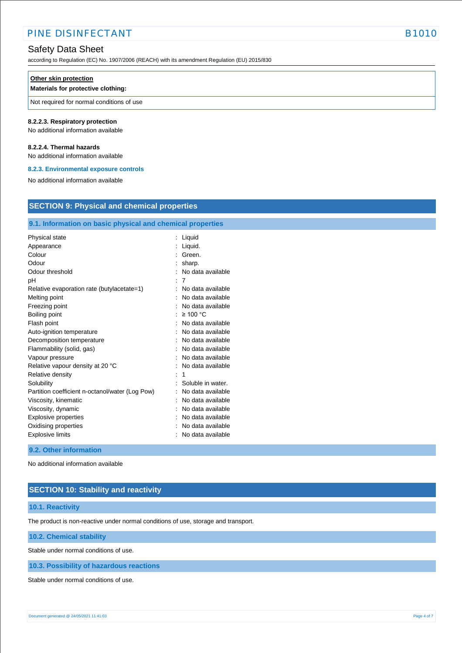## Safety Data Sheet

according to Regulation (EC) No. 1907/2006 (REACH) with its amendment Regulation (EU) 2015/830

#### **Other skin protection**

### **Materials for protective clothing:**

Not required for normal conditions of use

#### **8.2.2.3. Respiratory protection**

No additional information available

### **8.2.2.4. Thermal hazards**

No additional information available

#### **8.2.3. Environmental exposure controls**

No additional information available

# **SECTION 9: Physical and chemical properties**

## **9.1. Information on basic physical and chemical properties**

| Physical state                                  | Liquid            |
|-------------------------------------------------|-------------------|
| Appearance                                      | Liquid.           |
| Colour                                          | Green.            |
| Odour                                           | sharp.            |
| Odour threshold                                 | No data available |
| рH                                              | 7                 |
| Relative evaporation rate (butylacetate=1)      | No data available |
| Melting point                                   | No data available |
| Freezing point                                  | No data available |
| Boiling point                                   | $\geq 100$ °C     |
| Flash point                                     | No data available |
| Auto-ignition temperature                       | No data available |
| Decomposition temperature                       | No data available |
| Flammability (solid, gas)                       | No data available |
| Vapour pressure                                 | No data available |
| Relative vapour density at 20 °C                | No data available |
| Relative density                                | 1                 |
| Solubility                                      | Soluble in water. |
| Partition coefficient n-octanol/water (Log Pow) | No data available |
| Viscosity, kinematic                            | No data available |
| Viscosity, dynamic                              | No data available |
| <b>Explosive properties</b>                     | No data available |
| Oxidising properties                            | No data available |
| <b>Explosive limits</b>                         | No data available |
|                                                 |                   |

### **9.2. Other information**

No additional information available

## **SECTION 10: Stability and reactivity**

### **10.1. Reactivity**

The product is non-reactive under normal conditions of use, storage and transport.

## **10.2. Chemical stability**

Stable under normal conditions of use.

### **10.3. Possibility of hazardous reactions**

Stable under normal conditions of use.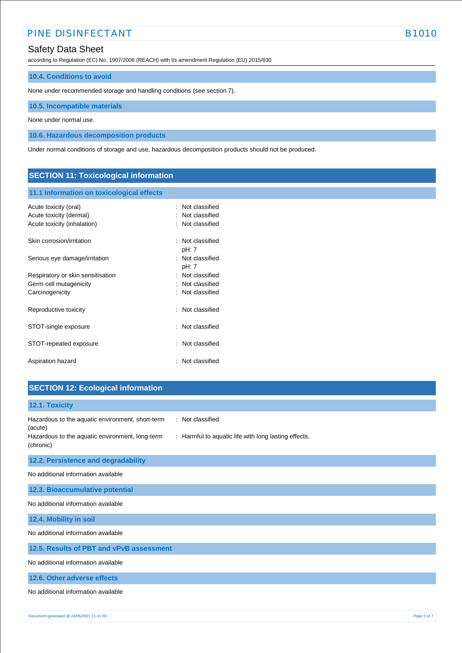## Safety Data Sheet

according to Regulation (EC) No. 1907/2006 (REACH) with its amendment Regulation (EU) 2015/830

## **10.4. Conditions to avoid**

None under recommended storage and handling conditions (see section 7).

**10.5. Incompatible materials**

None under normal use.

**10.6. Hazardous decomposition products**

Under normal conditions of storage and use, hazardous decomposition products should not be produced.

## **SECTION 11: Toxicological information**

## **11.1 Information on toxicological effects**

| Acute toxicity (oral)<br>Acute toxicity (dermal)<br>Acute toxicity (inhalation) | Not classified<br>Not classified<br>: Not classified              |
|---------------------------------------------------------------------------------|-------------------------------------------------------------------|
| Skin corrosion/irritation                                                       | : Not classified<br>pH: 7                                         |
| Serious eye damage/irritation                                                   | : Not classified<br>pH: 7                                         |
| Respiratory or skin sensitisation<br>Germ cell mutagenicity<br>Carcinogenicity  | $\therefore$ Not classified<br>Not classified<br>: Not classified |
| Reproductive toxicity                                                           | : Not classified                                                  |
| STOT-single exposure                                                            | : Not classified                                                  |
| STOT-repeated exposure                                                          | : Not classified                                                  |
| Aspiration hazard                                                               | Not classified                                                    |

## **SECTION 12: Ecological information**

| 12.1. Toxicity                                                                                                       |
|----------------------------------------------------------------------------------------------------------------------|
| Hazardous to the aquatic environment, short-term<br>: Not classified<br>(acute)                                      |
| Hazardous to the aquatic environment, long-term<br>: Harmful to aquatic life with long lasting effects.<br>(chronic) |
| 12.2. Persistence and degradability                                                                                  |
| No additional information available                                                                                  |
| 12.3. Bioaccumulative potential                                                                                      |
| No additional information available                                                                                  |
| 12.4. Mobility in soil                                                                                               |
| No additional information available                                                                                  |
| 12.5. Results of PBT and vPvB assessment                                                                             |
| No additional information available                                                                                  |
| 12.6. Other adverse effects                                                                                          |
| No additional information available                                                                                  |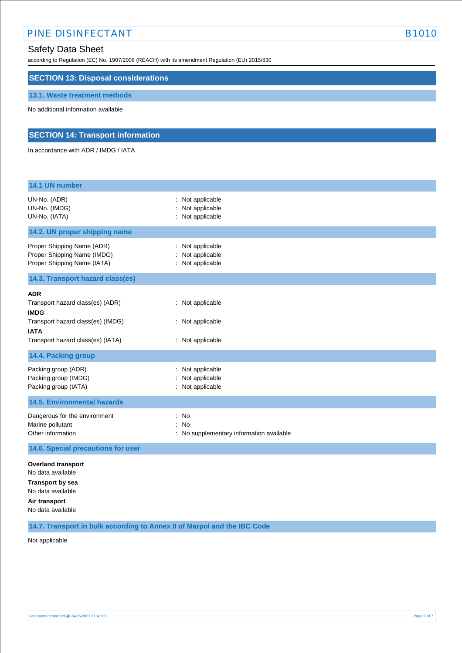## Safety Data Sheet

according to Regulation (EC) No. 1907/2006 (REACH) with its amendment Regulation (EU) 2015/830

## **SECTION 13: Disposal considerations**

## **13.1. Waste treatment methods**

No additional information available

## **SECTION 14: Transport information**

In accordance with ADR / IMDG / IATA

| 14.1 UN number                                                                                                                                         |                                                                     |  |
|--------------------------------------------------------------------------------------------------------------------------------------------------------|---------------------------------------------------------------------|--|
| UN-No. (ADR)<br>UN-No. (IMDG)<br>UN-No. (IATA)                                                                                                         | Not applicable<br>Not applicable<br>: Not applicable                |  |
| 14.2. UN proper shipping name                                                                                                                          |                                                                     |  |
| Proper Shipping Name (ADR)<br>Proper Shipping Name (IMDG)<br>Proper Shipping Name (IATA)                                                               | Not applicable<br>Not applicable<br>Not applicable                  |  |
| 14.3. Transport hazard class(es)                                                                                                                       |                                                                     |  |
| <b>ADR</b><br>Transport hazard class(es) (ADR)<br><b>IMDG</b><br>Transport hazard class(es) (IMDG)<br><b>IATA</b><br>Transport hazard class(es) (IATA) | : Not applicable<br>: Not applicable<br>: Not applicable            |  |
| 14.4. Packing group                                                                                                                                    |                                                                     |  |
| Packing group (ADR)<br>Packing group (IMDG)<br>Packing group (IATA)                                                                                    | Not applicable<br>Not applicable<br>Not applicable                  |  |
| <b>14.5. Environmental hazards</b>                                                                                                                     |                                                                     |  |
| Dangerous for the environment<br>Marine pollutant<br>Other information                                                                                 | No<br>÷<br><b>No</b><br>÷<br>No supplementary information available |  |
| 14.6. Special precautions for user                                                                                                                     |                                                                     |  |
| <b>Overland transport</b><br>No data available<br><b>Transport by sea</b><br>No data available<br>Air transport<br>No data available                   |                                                                     |  |

**14.7. Transport in bulk according to Annex II of Marpol and the IBC Code**

Not applicable